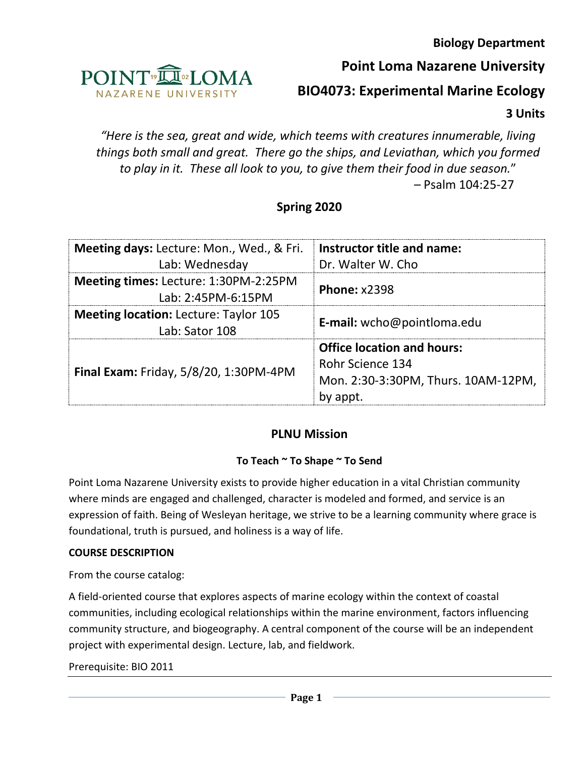**Biology Department**



## **Point Loma Nazarene University**

## **BIO4073: Experimental Marine Ecology**

**3 Units**

*"Here is the sea, great and wide, which teems with creatures innumerable, living things both small and great. There go the ships, and Leviathan, which you formed to play in it. These all look to you, to give them their food in due season.*" – Psalm 104:25-27

## **Spring 2020**

| <b>Meeting days: Lecture: Mon., Wed., &amp; Fri.</b><br>Lab: Wednesday | Instructor title and name:<br>Dr. Walter W. Cho                                                          |  |
|------------------------------------------------------------------------|----------------------------------------------------------------------------------------------------------|--|
| Meeting times: Lecture: 1:30PM-2:25PM<br>Lab: 2:45PM-6:15PM            | <b>Phone: x2398</b>                                                                                      |  |
| <b>Meeting location: Lecture: Taylor 105</b><br>Lab: Sator 108         | E-mail: wcho@pointloma.edu                                                                               |  |
| Final Exam: Friday, 5/8/20, 1:30PM-4PM                                 | <b>Office location and hours:</b><br>Rohr Science 134<br>Mon. 2:30-3:30PM, Thurs. 10AM-12PM,<br>by appt. |  |

## **PLNU Mission**

## **To Teach ~ To Shape ~ To Send**

Point Loma Nazarene University exists to provide higher education in a vital Christian community where minds are engaged and challenged, character is modeled and formed, and service is an expression of faith. Being of Wesleyan heritage, we strive to be a learning community where grace is foundational, truth is pursued, and holiness is a way of life.

#### **COURSE DESCRIPTION**

From the course catalog:

A field-oriented course that explores aspects of marine ecology within the context of coastal communities, including ecological relationships within the marine environment, factors influencing community structure, and biogeography. A central component of the course will be an independent project with experimental design. Lecture, lab, and fieldwork.

Prerequisite: BIO 2011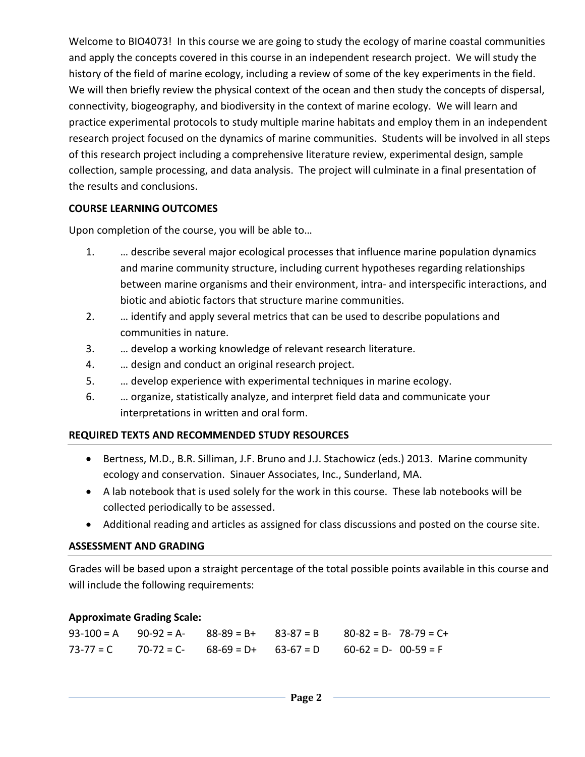Welcome to BIO4073! In this course we are going to study the ecology of marine coastal communities and apply the concepts covered in this course in an independent research project. We will study the history of the field of marine ecology, including a review of some of the key experiments in the field. We will then briefly review the physical context of the ocean and then study the concepts of dispersal, connectivity, biogeography, and biodiversity in the context of marine ecology. We will learn and practice experimental protocols to study multiple marine habitats and employ them in an independent research project focused on the dynamics of marine communities. Students will be involved in all steps of this research project including a comprehensive literature review, experimental design, sample collection, sample processing, and data analysis. The project will culminate in a final presentation of the results and conclusions.

#### **COURSE LEARNING OUTCOMES**

Upon completion of the course, you will be able to…

- 1. … describe several major ecological processes that influence marine population dynamics and marine community structure, including current hypotheses regarding relationships between marine organisms and their environment, intra- and interspecific interactions, and biotic and abiotic factors that structure marine communities.
- 2. … identify and apply several metrics that can be used to describe populations and communities in nature.
- 3. … develop a working knowledge of relevant research literature.
- 4. … design and conduct an original research project.
- 5. … develop experience with experimental techniques in marine ecology.
- 6. … organize, statistically analyze, and interpret field data and communicate your interpretations in written and oral form.

#### **REQUIRED TEXTS AND RECOMMENDED STUDY RESOURCES**

- Bertness, M.D., B.R. Silliman, J.F. Bruno and J.J. Stachowicz (eds.) 2013. Marine community ecology and conservation. Sinauer Associates, Inc., Sunderland, MA.
- A lab notebook that is used solely for the work in this course. These lab notebooks will be collected periodically to be assessed.
- Additional reading and articles as assigned for class discussions and posted on the course site.

#### **ASSESSMENT AND GRADING**

Grades will be based upon a straight percentage of the total possible points available in this course and will include the following requirements:

#### **Approximate Grading Scale:**

 $93-100 = A$   $90-92 = A$ -  $88-89 = B$ +  $83-87 = B$   $80-82 = B$ -  $78-79 = C$ +  $73-77 = C$   $70-72 = C$   $68-69 = D$   $63-67 = D$   $60-62 = D$   $00-59 = F$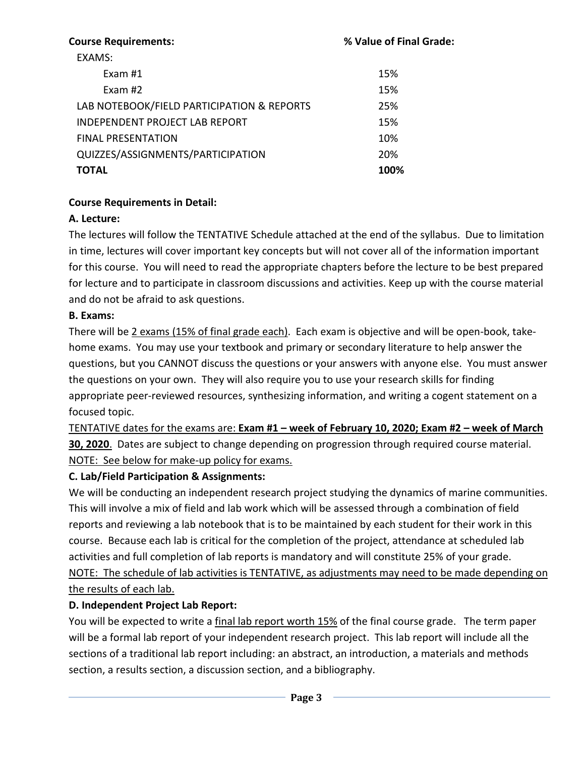#### **Course Requirements: % Value of Final Grade:**

EXAMS:

| <b>TOTAL</b>                               | 100% |
|--------------------------------------------|------|
| QUIZZES/ASSIGNMENTS/PARTICIPATION          | 20%  |
| <b>FINAL PRESENTATION</b>                  | 10%  |
| INDEPENDENT PROJECT LAB REPORT             | 15%  |
| LAB NOTEBOOK/FIELD PARTICIPATION & REPORTS | 25%  |
| Exam $#2$                                  | 15%  |
| Exam #1                                    | 15%  |
| LANTIVIJ.                                  |      |

#### **Course Requirements in Detail:**

#### **A. Lecture:**

The lectures will follow the TENTATIVE Schedule attached at the end of the syllabus. Due to limitation in time, lectures will cover important key concepts but will not cover all of the information important for this course. You will need to read the appropriate chapters before the lecture to be best prepared for lecture and to participate in classroom discussions and activities. Keep up with the course material and do not be afraid to ask questions.

#### **B. Exams:**

There will be 2 exams (15% of final grade each). Each exam is objective and will be open-book, takehome exams. You may use your textbook and primary or secondary literature to help answer the questions, but you CANNOT discuss the questions or your answers with anyone else. You must answer the questions on your own. They will also require you to use your research skills for finding appropriate peer-reviewed resources, synthesizing information, and writing a cogent statement on a focused topic.

TENTATIVE dates for the exams are: **Exam #1 – week of February 10, 2020; Exam #2 – week of March 30, 2020**. Dates are subject to change depending on progression through required course material. NOTE: See below for make-up policy for exams.

#### **C. Lab/Field Participation & Assignments:**

We will be conducting an independent research project studying the dynamics of marine communities. This will involve a mix of field and lab work which will be assessed through a combination of field reports and reviewing a lab notebook that is to be maintained by each student for their work in this course. Because each lab is critical for the completion of the project, attendance at scheduled lab activities and full completion of lab reports is mandatory and will constitute 25% of your grade. NOTE: The schedule of lab activities is TENTATIVE, as adjustments may need to be made depending on the results of each lab.

#### **D. Independent Project Lab Report:**

You will be expected to write a final lab report worth 15% of the final course grade. The term paper will be a formal lab report of your independent research project. This lab report will include all the sections of a traditional lab report including: an abstract, an introduction, a materials and methods section, a results section, a discussion section, and a bibliography.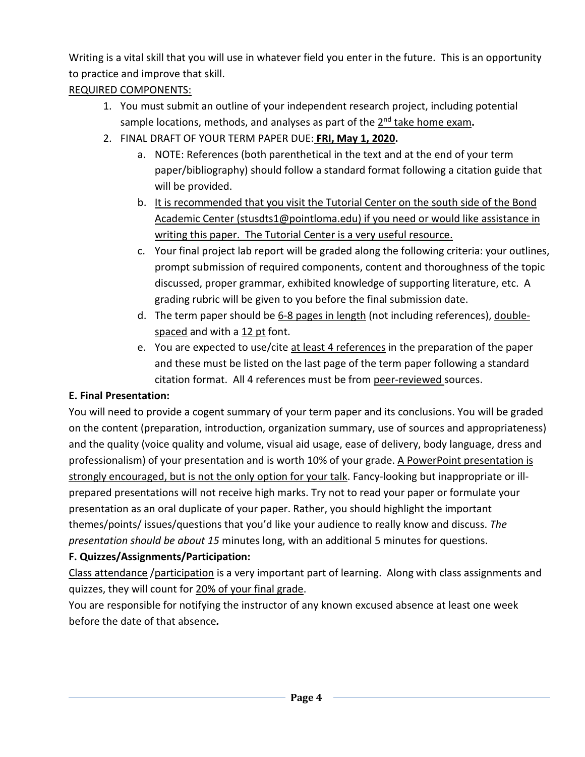Writing is a vital skill that you will use in whatever field you enter in the future. This is an opportunity to practice and improve that skill.

## REQUIRED COMPONENTS:

- 1. You must submit an outline of your independent research project, including potential sample locations, methods, and analyses as part of the 2nd take home exam**.**
- 2. FINAL DRAFT OF YOUR TERM PAPER DUE: **FRI, May 1, 2020.**
	- a. NOTE: References (both parenthetical in the text and at the end of your term paper/bibliography) should follow a standard format following a citation guide that will be provided.
	- b. It is recommended that you visit the Tutorial Center on the south side of the Bond Academic Center (stusdts1@pointloma.edu) if you need or would like assistance in writing this paper. The Tutorial Center is a very useful resource.
	- c. Your final project lab report will be graded along the following criteria: your outlines, prompt submission of required components, content and thoroughness of the topic discussed, proper grammar, exhibited knowledge of supporting literature, etc. A grading rubric will be given to you before the final submission date.
	- d. The term paper should be 6-8 pages in length (not including references), doublespaced and with a 12 pt font.
	- e. You are expected to use/cite at least 4 references in the preparation of the paper and these must be listed on the last page of the term paper following a standard citation format. All 4 references must be from peer-reviewed sources.

## **E. Final Presentation:**

You will need to provide a cogent summary of your term paper and its conclusions. You will be graded on the content (preparation, introduction, organization summary, use of sources and appropriateness) and the quality (voice quality and volume, visual aid usage, ease of delivery, body language, dress and professionalism) of your presentation and is worth 10% of your grade. A PowerPoint presentation is strongly encouraged, but is not the only option for your talk. Fancy-looking but inappropriate or illprepared presentations will not receive high marks. Try not to read your paper or formulate your presentation as an oral duplicate of your paper. Rather, you should highlight the important themes/points/ issues/questions that you'd like your audience to really know and discuss. *The presentation should be about 15* minutes long, with an additional 5 minutes for questions.

## **F. Quizzes/Assignments/Participation:**

Class attendance /participation is a very important part of learning. Along with class assignments and quizzes, they will count for 20% of your final grade.

You are responsible for notifying the instructor of any known excused absence at least one week before the date of that absence*.*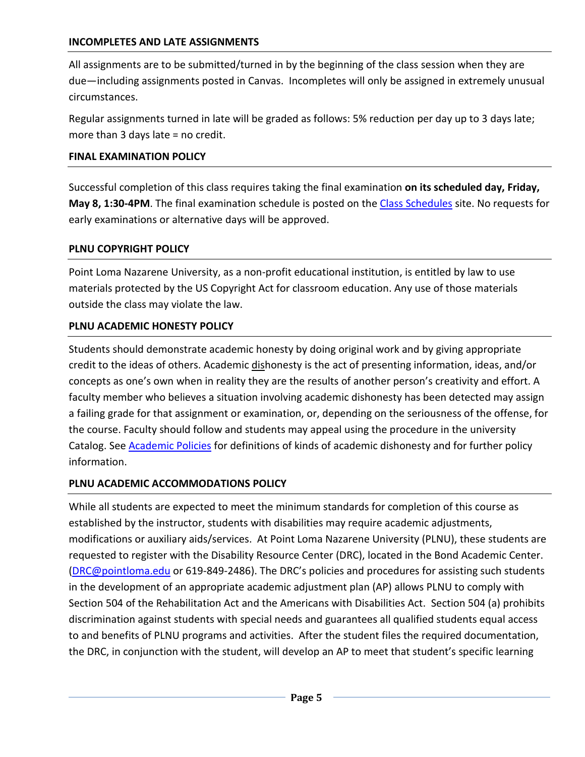All assignments are to be submitted/turned in by the beginning of the class session when they are due—including assignments posted in Canvas. Incompletes will only be assigned in extremely unusual circumstances.

Regular assignments turned in late will be graded as follows: 5% reduction per day up to 3 days late; more than 3 days late = no credit.

#### **FINAL EXAMINATION POLICY**

Successful completion of this class requires taking the final examination **on its scheduled day, Friday, May 8, 1:30-4PM**. The final examination schedule is posted on the [Class Schedules](http://www.pointloma.edu/experience/academics/class-schedules) site. No requests for early examinations or alternative days will be approved.

#### **PLNU COPYRIGHT POLICY**

Point Loma Nazarene University, as a non-profit educational institution, is entitled by law to use materials protected by the US Copyright Act for classroom education. Any use of those materials outside the class may violate the law.

#### **PLNU ACADEMIC HONESTY POLICY**

Students should demonstrate academic honesty by doing original work and by giving appropriate credit to the ideas of others. Academic dishonesty is the act of presenting information, ideas, and/or concepts as one's own when in reality they are the results of another person's creativity and effort. A faculty member who believes a situation involving academic dishonesty has been detected may assign a failing grade for that assignment or examination, or, depending on the seriousness of the offense, for the course. Faculty should follow and students may appeal using the procedure in the university Catalog. See [Academic Policies](http://catalog.pointloma.edu/content.php?catoid=18&navoid=1278) for definitions of kinds of academic dishonesty and for further policy information.

#### **PLNU ACADEMIC ACCOMMODATIONS POLICY**

While all students are expected to meet the minimum standards for completion of this course as established by the instructor, students with disabilities may require academic adjustments, modifications or auxiliary aids/services. At Point Loma Nazarene University (PLNU), these students are requested to register with the Disability Resource Center (DRC), located in the Bond Academic Center. [\(DRC@pointloma.edu](mailto:DRC@pointloma.edu) or 619-849-2486). The DRC's policies and procedures for assisting such students in the development of an appropriate academic adjustment plan (AP) allows PLNU to comply with Section 504 of the Rehabilitation Act and the Americans with Disabilities Act. Section 504 (a) prohibits discrimination against students with special needs and guarantees all qualified students equal access to and benefits of PLNU programs and activities. After the student files the required documentation, the DRC, in conjunction with the student, will develop an AP to meet that student's specific learning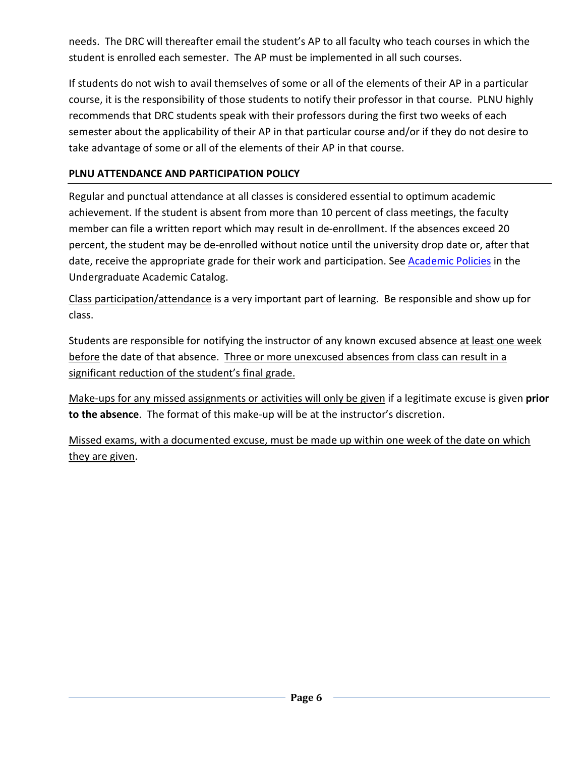needs. The DRC will thereafter email the student's AP to all faculty who teach courses in which the student is enrolled each semester. The AP must be implemented in all such courses.

If students do not wish to avail themselves of some or all of the elements of their AP in a particular course, it is the responsibility of those students to notify their professor in that course. PLNU highly recommends that DRC students speak with their professors during the first two weeks of each semester about the applicability of their AP in that particular course and/or if they do not desire to take advantage of some or all of the elements of their AP in that course.

### **PLNU ATTENDANCE AND PARTICIPATION POLICY**

Regular and punctual attendance at all classes is considered essential to optimum academic achievement. If the student is absent from more than 10 percent of class meetings, the faculty member can file a written report which may result in de-enrollment. If the absences exceed 20 percent, the student may be de-enrolled without notice until the university drop date or, after that date, receive the appropriate grade for their work and participation. See **Academic Policies** in the Undergraduate Academic Catalog.

Class participation/attendance is a very important part of learning. Be responsible and show up for class.

Students are responsible for notifying the instructor of any known excused absence at least one week before the date of that absence. Three or more unexcused absences from class can result in a significant reduction of the student's final grade.

Make-ups for any missed assignments or activities will only be given if a legitimate excuse is given **prior to the absence**. The format of this make-up will be at the instructor's discretion.

Missed exams, with a documented excuse, must be made up within one week of the date on which they are given.